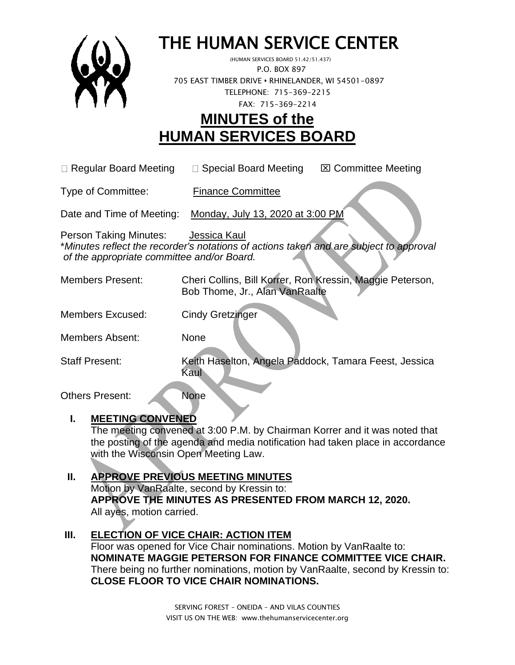

# THE HUMAN SERVICE CENTER

 (HUMAN SERVICES BOARD 51.42/51.437) P.O. BOX 897 705 EAST TIMBER DRIVE **•** RHINELANDER, WI 54501-0897 TELEPHONE: 715-369-2215 FAX: 715-369-2214

# **MINUTES of the HUMAN SERVICES BOARD**

 $\Box$  Regular Board Meeting  $\Box$  Special Board Meeting  $\Box$  Committee Meeting

Type of Committee: Finance Committee

Date and Time of Meeting: Monday, July 13, 2020 at 3:00 PM

Person Taking Minutes: Jessica Kaul \**Minutes reflect the recorder's notations of actions taken and are subject to approval of the appropriate committee and/or Board.*

- Members Present: Cheri Collins, Bill Korrer, Ron Kressin, Maggie Peterson, Bob Thome, Jr., Alan VanRaalte
- Members Excused: Cindy Gretzinger
- Members Absent: None

Staff Present: Keith Haselton, Angela Paddock, Tamara Feest, Jessica Kaul

Others Present: None

# **I. MEETING CONVENED**

The meeting convened at 3:00 P.M. by Chairman Korrer and it was noted that the posting of the agenda and media notification had taken place in accordance with the Wisconsin Open Meeting Law.

# **II. APPROVE PREVIOUS MEETING MINUTES**

Motion by VanRaalte, second by Kressin to: **APPROVE THE MINUTES AS PRESENTED FROM MARCH 12, 2020.**  All ayes, motion carried.

# **III. ELECTION OF VICE CHAIR: ACTION ITEM**

Floor was opened for Vice Chair nominations. Motion by VanRaalte to: **NOMINATE MAGGIE PETERSON FOR FINANCE COMMITTEE VICE CHAIR.**  There being no further nominations, motion by VanRaalte, second by Kressin to: **CLOSE FLOOR TO VICE CHAIR NOMINATIONS.**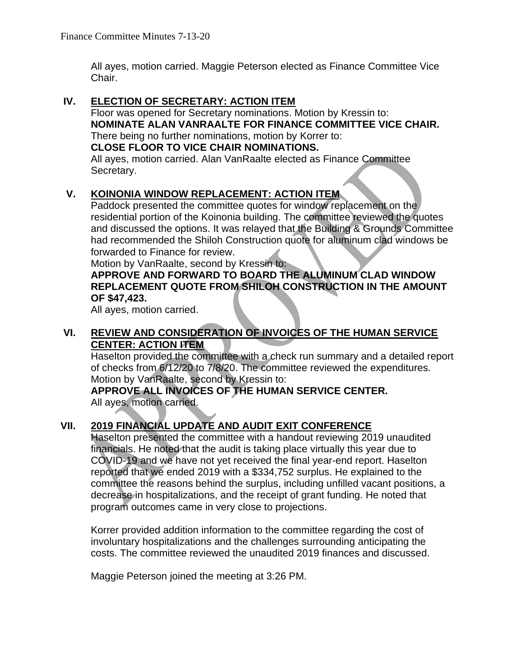All ayes, motion carried. Maggie Peterson elected as Finance Committee Vice Chair.

#### **IV. ELECTION OF SECRETARY: ACTION ITEM**

Floor was opened for Secretary nominations. Motion by Kressin to: **NOMINATE ALAN VANRAALTE FOR FINANCE COMMITTEE VICE CHAIR.**  There being no further nominations, motion by Korrer to: **CLOSE FLOOR TO VICE CHAIR NOMINATIONS.**  All ayes, motion carried. Alan VanRaalte elected as Finance Committee Secretary.

### **V. KOINONIA WINDOW REPLACEMENT: ACTION ITEM**

Paddock presented the committee quotes for window replacement on the residential portion of the Koinonia building. The committee reviewed the quotes and discussed the options. It was relayed that the Building & Grounds Committee had recommended the Shiloh Construction quote for aluminum clad windows be forwarded to Finance for review.

Motion by VanRaalte, second by Kressin to:

### **APPROVE AND FORWARD TO BOARD THE ALUMINUM CLAD WINDOW REPLACEMENT QUOTE FROM SHILOH CONSTRUCTION IN THE AMOUNT OF \$47,423.**

All ayes, motion carried.

### **VI. REVIEW AND CONSIDERATION OF INVOICES OF THE HUMAN SERVICE CENTER: ACTION ITEM**

Haselton provided the committee with a check run summary and a detailed report of checks from 6/12/20 to 7/8/20. The committee reviewed the expenditures. Motion by VanRaalte, second by Kressin to:

#### **APPROVE ALL INVOICES OF THE HUMAN SERVICE CENTER.**  All ayes, motion carried.

# **VII. 2019 FINANCIAL UPDATE AND AUDIT EXIT CONFERENCE**

Haselton presented the committee with a handout reviewing 2019 unaudited financials. He noted that the audit is taking place virtually this year due to COVID-19 and we have not yet received the final year-end report. Haselton reported that we ended 2019 with a \$334,752 surplus. He explained to the committee the reasons behind the surplus, including unfilled vacant positions, a decrease in hospitalizations, and the receipt of grant funding. He noted that program outcomes came in very close to projections.

Korrer provided addition information to the committee regarding the cost of involuntary hospitalizations and the challenges surrounding anticipating the costs. The committee reviewed the unaudited 2019 finances and discussed.

Maggie Peterson joined the meeting at 3:26 PM.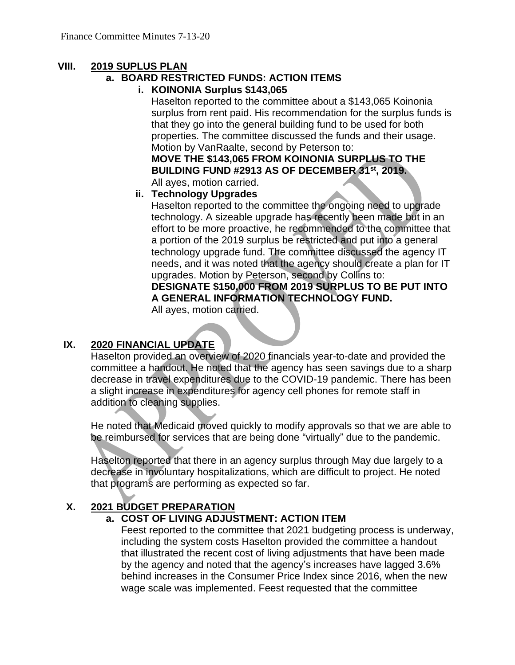### **VIII. 2019 SUPLUS PLAN**

## **a. BOARD RESTRICTED FUNDS: ACTION ITEMS**

**i. KOINONIA Surplus \$143,065**

Haselton reported to the committee about a \$143,065 Koinonia surplus from rent paid. His recommendation for the surplus funds is that they go into the general building fund to be used for both properties. The committee discussed the funds and their usage. Motion by VanRaalte, second by Peterson to:

**MOVE THE \$143,065 FROM KOINONIA SURPLUS TO THE BUILDING FUND #2913 AS OF DECEMBER 31st, 2019.** All ayes, motion carried.

#### **ii. Technology Upgrades**

Haselton reported to the committee the ongoing need to upgrade technology. A sizeable upgrade has recently been made but in an effort to be more proactive, he recommended to the committee that a portion of the 2019 surplus be restricted and put into a general technology upgrade fund. The committee discussed the agency IT needs, and it was noted that the agency should create a plan for IT upgrades. Motion by Peterson, second by Collins to: **DESIGNATE \$150,000 FROM 2019 SURPLUS TO BE PUT INTO A GENERAL INFORMATION TECHNOLOGY FUND.** 

All ayes, motion carried.

### **IX. 2020 FINANCIAL UPDATE**

Haselton provided an overview of 2020 financials year-to-date and provided the committee a handout. He noted that the agency has seen savings due to a sharp decrease in travel expenditures due to the COVID-19 pandemic. There has been a slight increase in expenditures for agency cell phones for remote staff in addition to cleaning supplies.

He noted that Medicaid moved quickly to modify approvals so that we are able to be reimbursed for services that are being done "virtually" due to the pandemic.

Haselton reported that there in an agency surplus through May due largely to a decrease in involuntary hospitalizations, which are difficult to project. He noted that programs are performing as expected so far.

### **X. 2021 BUDGET PREPARATION**

#### **a. COST OF LIVING ADJUSTMENT: ACTION ITEM**

Feest reported to the committee that 2021 budgeting process is underway, including the system costs Haselton provided the committee a handout that illustrated the recent cost of living adjustments that have been made by the agency and noted that the agency's increases have lagged 3.6% behind increases in the Consumer Price Index since 2016, when the new wage scale was implemented. Feest requested that the committee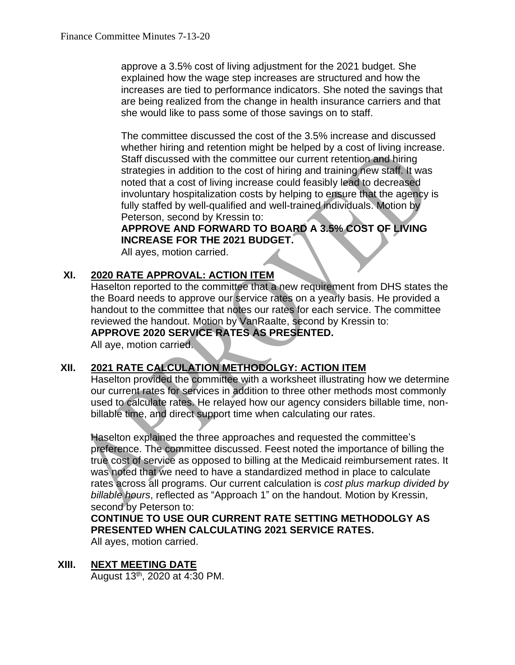approve a 3.5% cost of living adjustment for the 2021 budget. She explained how the wage step increases are structured and how the increases are tied to performance indicators. She noted the savings that are being realized from the change in health insurance carriers and that she would like to pass some of those savings on to staff.

The committee discussed the cost of the 3.5% increase and discussed whether hiring and retention might be helped by a cost of living increase. Staff discussed with the committee our current retention and hiring strategies in addition to the cost of hiring and training new staff. It was noted that a cost of living increase could feasibly lead to decreased involuntary hospitalization costs by helping to ensure that the agency is fully staffed by well-qualified and well-trained individuals. Motion by Peterson, second by Kressin to:

### **APPROVE AND FORWARD TO BOARD A 3.5% COST OF LIVING INCREASE FOR THE 2021 BUDGET.**

All ayes, motion carried.

#### **XI. 2020 RATE APPROVAL: ACTION ITEM**

Haselton reported to the committee that a new requirement from DHS states the the Board needs to approve our service rates on a yearly basis. He provided a handout to the committee that notes our rates for each service. The committee reviewed the handout. Motion by VanRaalte, second by Kressin to: **APPROVE 2020 SERVICE RATES AS PRESENTED.** 

All aye, motion carried.

### **XII. 2021 RATE CALCULATION METHODOLGY: ACTION ITEM**

Haselton provided the committee with a worksheet illustrating how we determine our current rates for services in addition to three other methods most commonly used to calculate rates. He relayed how our agency considers billable time, nonbillable time, and direct support time when calculating our rates.

Haselton explained the three approaches and requested the committee's preference. The committee discussed. Feest noted the importance of billing the true cost of service as opposed to billing at the Medicaid reimbursement rates. It was noted that we need to have a standardized method in place to calculate rates across all programs. Our current calculation is *cost plus markup divided by billable hours*, reflected as "Approach 1" on the handout. Motion by Kressin, second by Peterson to:

**CONTINUE TO USE OUR CURRENT RATE SETTING METHODOLGY AS PRESENTED WHEN CALCULATING 2021 SERVICE RATES.** 

All ayes, motion carried.

**XIII. NEXT MEETING DATE**

August 13th, 2020 at 4:30 PM.